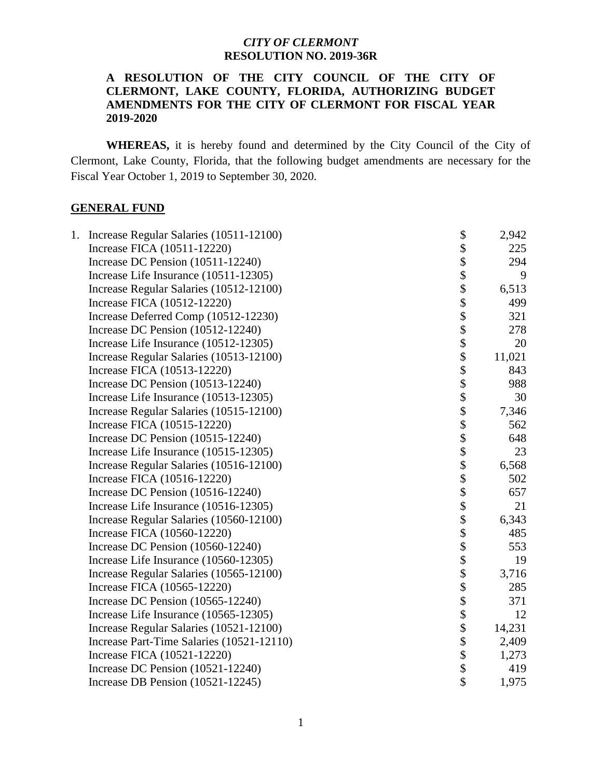#### **A RESOLUTION OF THE CITY COUNCIL OF THE CITY OF CLERMONT, LAKE COUNTY, FLORIDA, AUTHORIZING BUDGET AMENDMENTS FOR THE CITY OF CLERMONT FOR FISCAL YEAR 2019-2020**

 **WHEREAS,** it is hereby found and determined by the City Council of the City of Clermont, Lake County, Florida, that the following budget amendments are necessary for the Fiscal Year October 1, 2019 to September 30, 2020.

#### **GENERAL FUND**

| 1. | Increase Regular Salaries (10511-12100)   | \$             | 2,942  |
|----|-------------------------------------------|----------------|--------|
|    | Increase FICA (10511-12220)               | \$             | 225    |
|    | Increase DC Pension (10511-12240)         | \$             | 294    |
|    | Increase Life Insurance (10511-12305)     | \$<br>\$       | 9      |
|    | Increase Regular Salaries (10512-12100)   |                | 6,513  |
|    | Increase FICA (10512-12220)               | \$             | 499    |
|    | Increase Deferred Comp (10512-12230)      | \$             | 321    |
|    | Increase DC Pension $(10512-12240)$       | \$             | 278    |
|    | Increase Life Insurance (10512-12305)     | \$             | 20     |
|    | Increase Regular Salaries (10513-12100)   | \$             | 11,021 |
|    | Increase FICA (10513-12220)               | \$             | 843    |
|    | Increase DC Pension (10513-12240)         | \$             | 988    |
|    | Increase Life Insurance (10513-12305)     | \$             | 30     |
|    | Increase Regular Salaries (10515-12100)   |                | 7,346  |
|    | Increase FICA (10515-12220)               | \$<br>\$<br>\$ | 562    |
|    | Increase DC Pension (10515-12240)         |                | 648    |
|    | Increase Life Insurance (10515-12305)     | \$             | 23     |
|    | Increase Regular Salaries (10516-12100)   | $\ddot{\$}$    | 6,568  |
|    | Increase FICA (10516-12220)               | \$             | 502    |
|    | Increase DC Pension (10516-12240)         | \$             | 657    |
|    | Increase Life Insurance (10516-12305)     | \$             | 21     |
|    | Increase Regular Salaries (10560-12100)   | \$<br>\$       | 6,343  |
|    | Increase FICA (10560-12220)               |                | 485    |
|    | Increase DC Pension $(10560-12240)$       |                | 553    |
|    | Increase Life Insurance (10560-12305)     | \$             | 19     |
|    | Increase Regular Salaries (10565-12100)   | \$             | 3,716  |
|    | Increase FICA (10565-12220)               | \$<br>\$       | 285    |
|    | Increase DC Pension (10565-12240)         |                | 371    |
|    | Increase Life Insurance (10565-12305)     |                | 12     |
|    | Increase Regular Salaries (10521-12100)   | \$             | 14,231 |
|    | Increase Part-Time Salaries (10521-12110) | \$             | 2,409  |
|    | Increase FICA (10521-12220)               | \$             | 1,273  |
|    | Increase DC Pension (10521-12240)         | \$             | 419    |
|    | Increase DB Pension (10521-12245)         | \$             | 1,975  |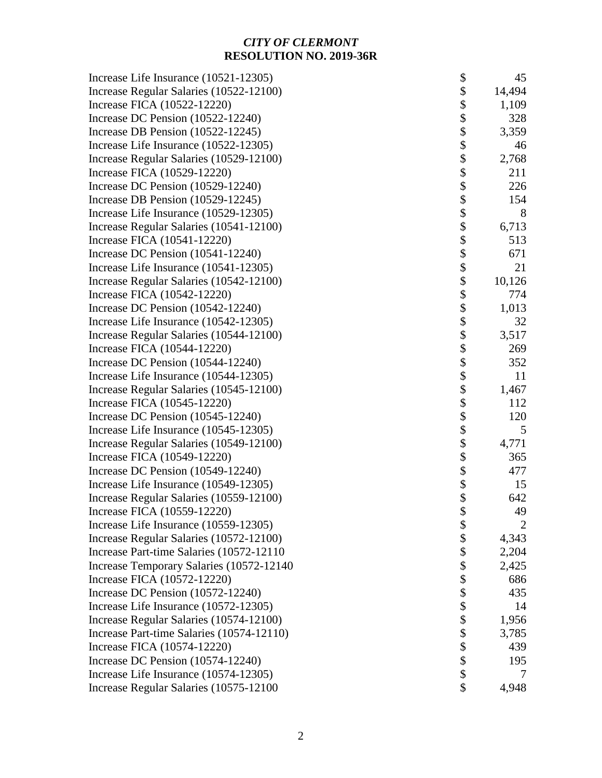| Increase Life Insurance (10521-12305)     | \$                | 45             |
|-------------------------------------------|-------------------|----------------|
| Increase Regular Salaries (10522-12100)   | \$                | 14,494         |
| Increase FICA (10522-12220)               | \$                | 1,109          |
| Increase DC Pension (10522-12240)         | \$                | 328            |
| Increase DB Pension (10522-12245)         | \$                | 3,359          |
| Increase Life Insurance (10522-12305)     | \$                | 46             |
| Increase Regular Salaries (10529-12100)   | \$                | 2,768          |
| Increase FICA (10529-12220)               | \$                | 211            |
| Increase DC Pension (10529-12240)         | \$                | 226            |
| Increase DB Pension (10529-12245)         | \$                | 154            |
| Increase Life Insurance (10529-12305)     | \$                | 8              |
| Increase Regular Salaries (10541-12100)   | \$                | 6,713          |
| Increase FICA (10541-12220)               | \$                | 513            |
| Increase DC Pension (10541-12240)         | \$                | 671            |
| Increase Life Insurance (10541-12305)     | \$                | 21             |
| Increase Regular Salaries (10542-12100)   | \$                | 10,126         |
| Increase FICA (10542-12220)               | $\boldsymbol{\$}$ | 774            |
| Increase DC Pension (10542-12240)         | \$                | 1,013          |
| Increase Life Insurance (10542-12305)     | \$                | 32             |
| Increase Regular Salaries (10544-12100)   | \$                | 3,517          |
| Increase FICA (10544-12220)               | \$                | 269            |
| Increase DC Pension (10544-12240)         | \$                | 352            |
| Increase Life Insurance (10544-12305)     | \$                | 11             |
| Increase Regular Salaries (10545-12100)   | \$                | 1,467          |
| Increase FICA (10545-12220)               | \$                | 112            |
| Increase DC Pension (10545-12240)         | \$                | 120            |
| Increase Life Insurance (10545-12305)     | \$                | 5              |
| Increase Regular Salaries (10549-12100)   | \$                | 4,771          |
| Increase FICA (10549-12220)               | \$                | 365            |
| Increase DC Pension (10549-12240)         | \$                | 477            |
| Increase Life Insurance (10549-12305)     | \$                | 15             |
| Increase Regular Salaries (10559-12100)   | \$                | 642            |
| Increase FICA (10559-12220)               | \$                | 49             |
| Increase Life Insurance (10559-12305)     | \$                | $\overline{2}$ |
| Increase Regular Salaries (10572-12100)   | \$                | 4,343          |
| Increase Part-time Salaries (10572-12110) | \$                | 2,204          |
| Increase Temporary Salaries (10572-12140) | \$                | 2,425          |
| Increase FICA (10572-12220)               | \$                | 686            |
| Increase DC Pension (10572-12240)         | \$                | 435            |
| Increase Life Insurance (10572-12305)     | \$                | 14             |
| Increase Regular Salaries (10574-12100)   | \$                | 1,956          |
| Increase Part-time Salaries (10574-12110) | \$                | 3,785          |
| Increase FICA (10574-12220)               | \$                | 439            |
| Increase DC Pension (10574-12240)         | \$                | 195            |
| Increase Life Insurance (10574-12305)     | \$                |                |
| Increase Regular Salaries (10575-12100    | \$                | 4,948          |
|                                           |                   |                |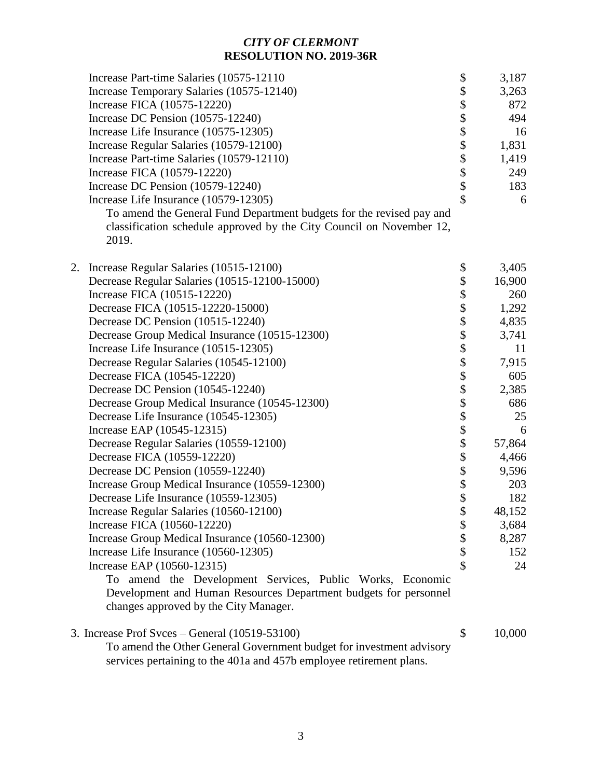|    | Increase Part-time Salaries (10575-12110)<br>Increase Temporary Salaries (10575-12140)<br>Increase FICA (10575-12220)<br>Increase DC Pension (10575-12240)<br>Increase Life Insurance (10575-12305)<br>Increase Regular Salaries (10579-12100)<br>Increase Part-time Salaries (10579-12110)<br>Increase FICA (10579-12220)<br>Increase DC Pension (10579-12240)<br>Increase Life Insurance (10579-12305)<br>To amend the General Fund Department budgets for the revised pay and<br>classification schedule approved by the City Council on November 12,<br>2019.                                                                                                                                                                                                                         | \$<br>\$<br>\$\$\$\$\$\$\$ | 3,187<br>3,263<br>872<br>494<br>16<br>1,831<br>1,419<br>249<br>183<br>6                                                                                |
|----|-------------------------------------------------------------------------------------------------------------------------------------------------------------------------------------------------------------------------------------------------------------------------------------------------------------------------------------------------------------------------------------------------------------------------------------------------------------------------------------------------------------------------------------------------------------------------------------------------------------------------------------------------------------------------------------------------------------------------------------------------------------------------------------------|----------------------------|--------------------------------------------------------------------------------------------------------------------------------------------------------|
| 2. | Increase Regular Salaries (10515-12100)<br>Decrease Regular Salaries (10515-12100-15000)<br>Increase FICA (10515-12220)<br>Decrease FICA (10515-12220-15000)<br>Decrease DC Pension (10515-12240)<br>Decrease Group Medical Insurance (10515-12300)<br>Increase Life Insurance (10515-12305)<br>Decrease Regular Salaries (10545-12100)<br>Decrease FICA (10545-12220)<br>Decrease DC Pension (10545-12240)<br>Decrease Group Medical Insurance (10545-12300)<br>Decrease Life Insurance (10545-12305)<br>Increase EAP (10545-12315)<br>Decrease Regular Salaries (10559-12100)<br>Decrease FICA (10559-12220)<br>Decrease DC Pension (10559-12240)<br>Increase Group Medical Insurance (10559-12300)<br>Decrease Life Insurance (10559-12305)<br>Increase Regular Salaries (10560-12100) | \$<br>\$<br>\$             | 3,405<br>16,900<br>260<br>1,292<br>4,835<br>3,741<br>11<br>7,915<br>605<br>2,385<br>686<br>25<br>6<br>57,864<br>4,466<br>9,596<br>203<br>182<br>48,152 |
|    | Increase FICA (10560-12220)<br>Increase Group Medical Insurance (10560-12300)<br>Increase Life Insurance (10560-12305)<br>Increase EAP (10560-12315)<br>To amend the Development Services, Public Works, Economic<br>Development and Human Resources Department budgets for personnel<br>changes approved by the City Manager.                                                                                                                                                                                                                                                                                                                                                                                                                                                            | \$<br>\$<br>\$<br>\$       | 3,684<br>8,287<br>152<br>24                                                                                                                            |

| 3. Increase Prof Svces – General $(10519-53100)$                     | 10,000 |
|----------------------------------------------------------------------|--------|
| To amend the Other General Government budget for investment advisory |        |
| services pertaining to the 401a and 457b employee retirement plans.  |        |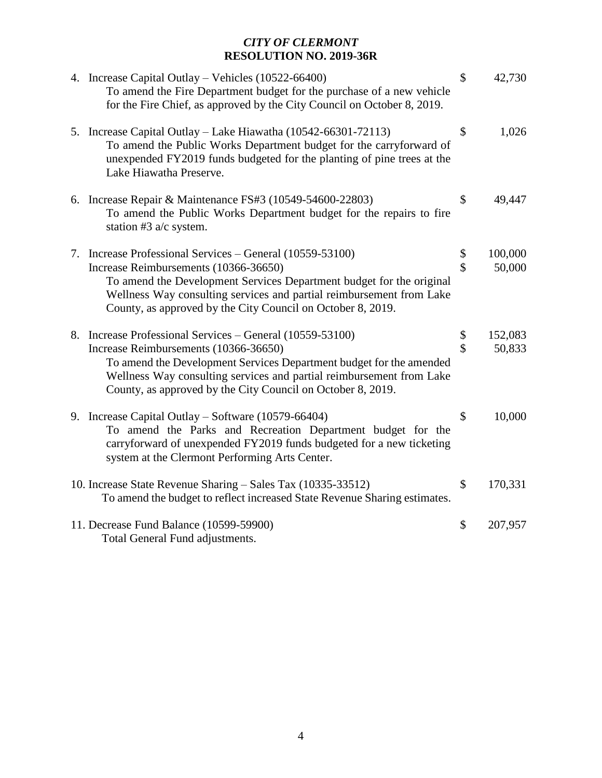| 4. Increase Capital Outlay – Vehicles (10522-66400)<br>To amend the Fire Department budget for the purchase of a new vehicle<br>for the Fire Chief, as approved by the City Council on October 8, 2019.                                    | \$<br>42,730  |
|--------------------------------------------------------------------------------------------------------------------------------------------------------------------------------------------------------------------------------------------|---------------|
| 5. Increase Capital Outlay - Lake Hiawatha (10542-66301-72113)<br>To amend the Public Works Department budget for the carryforward of<br>unexpended FY2019 funds budgeted for the planting of pine trees at the<br>Lake Hiawatha Preserve. | \$<br>1,026   |
| 6. Increase Repair & Maintenance FS#3 (10549-54600-22803)<br>To amend the Public Works Department budget for the repairs to fire<br>station #3 $a/c$ system.                                                                               | \$<br>49,447  |
| 7. Increase Professional Services - General (10559-53100)                                                                                                                                                                                  | \$<br>100,000 |
| Increase Reimbursements (10366-36650)                                                                                                                                                                                                      | \$<br>50,000  |
| To amend the Development Services Department budget for the original<br>Wellness Way consulting services and partial reimbursement from Lake<br>County, as approved by the City Council on October 8, 2019.                                |               |
| 8. Increase Professional Services - General (10559-53100)                                                                                                                                                                                  | \$<br>152,083 |
| Increase Reimbursements (10366-36650)                                                                                                                                                                                                      | \$<br>50,833  |
| To amend the Development Services Department budget for the amended<br>Wellness Way consulting services and partial reimbursement from Lake<br>County, as approved by the City Council on October 8, 2019.                                 |               |
| 9. Increase Capital Outlay – Software $(10579-66404)$                                                                                                                                                                                      | \$<br>10,000  |
| To amend the Parks and Recreation Department budget for the<br>carryforward of unexpended FY2019 funds budgeted for a new ticketing<br>system at the Clermont Performing Arts Center.                                                      |               |
| 10. Increase State Revenue Sharing – Sales Tax (10335-33512)                                                                                                                                                                               | \$<br>170,331 |
| To amend the budget to reflect increased State Revenue Sharing estimates.                                                                                                                                                                  |               |
| 11. Decrease Fund Balance (10599-59900)                                                                                                                                                                                                    | \$<br>207,957 |
| Total General Fund adjustments.                                                                                                                                                                                                            |               |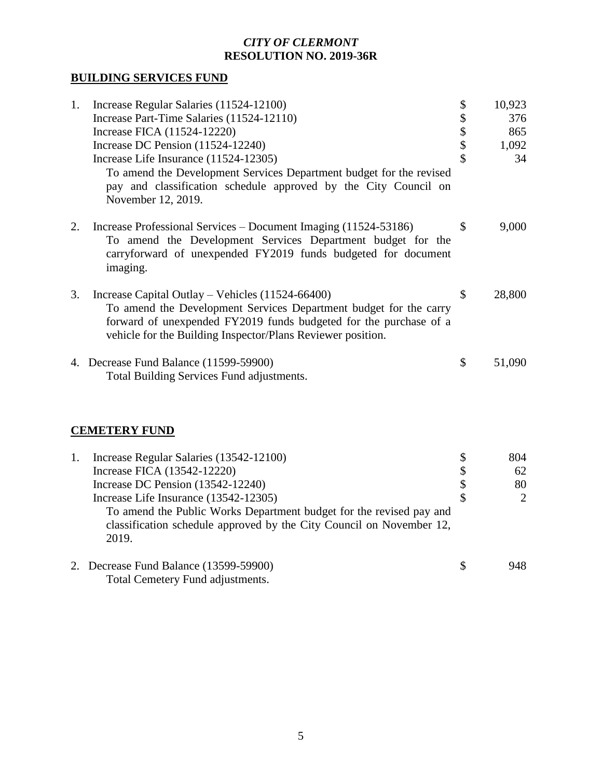# **BUILDING SERVICES FUND**

| 1. | Increase Regular Salaries (11524-12100)                                                                                                                                                                                                                     | \$<br>10,923 |
|----|-------------------------------------------------------------------------------------------------------------------------------------------------------------------------------------------------------------------------------------------------------------|--------------|
|    | Increase Part-Time Salaries (11524-12110)                                                                                                                                                                                                                   | \$<br>376    |
|    | Increase FICA (11524-12220)                                                                                                                                                                                                                                 | \$<br>865    |
|    | Increase DC Pension $(11524-12240)$                                                                                                                                                                                                                         | \$<br>1,092  |
|    | Increase Life Insurance (11524-12305)                                                                                                                                                                                                                       | \$<br>34     |
|    | To amend the Development Services Department budget for the revised<br>pay and classification schedule approved by the City Council on<br>November 12, 2019.                                                                                                |              |
| 2. | Increase Professional Services – Document Imaging (11524-53186)<br>To amend the Development Services Department budget for the<br>carryforward of unexpended FY2019 funds budgeted for document<br>imaging.                                                 | \$<br>9,000  |
| 3. | Increase Capital Outlay – Vehicles $(11524-66400)$<br>To amend the Development Services Department budget for the carry<br>forward of unexpended FY2019 funds budgeted for the purchase of a<br>vehicle for the Building Inspector/Plans Reviewer position. | \$<br>28,800 |
|    | 4. Decrease Fund Balance (11599-59900)<br>Total Building Services Fund adjustments.                                                                                                                                                                         | \$<br>51,090 |

# **CEMETERY FUND**

| 1. | Increase Regular Salaries (13542-12100)                                                                                                              | \$ | 804                   |
|----|------------------------------------------------------------------------------------------------------------------------------------------------------|----|-----------------------|
|    | Increase FICA (13542-12220)                                                                                                                          | \$ | 62                    |
|    | Increase DC Pension (13542-12240)                                                                                                                    | \$ | 80                    |
|    | Increase Life Insurance (13542-12305)                                                                                                                | \$ | $\mathcal{D}_{\cdot}$ |
|    | To amend the Public Works Department budget for the revised pay and<br>classification schedule approved by the City Council on November 12,<br>2019. |    |                       |
|    | 2. Decrease Fund Balance (13599-59900)                                                                                                               | -S | 948                   |
|    | Total Cemetery Fund adjustments.                                                                                                                     |    |                       |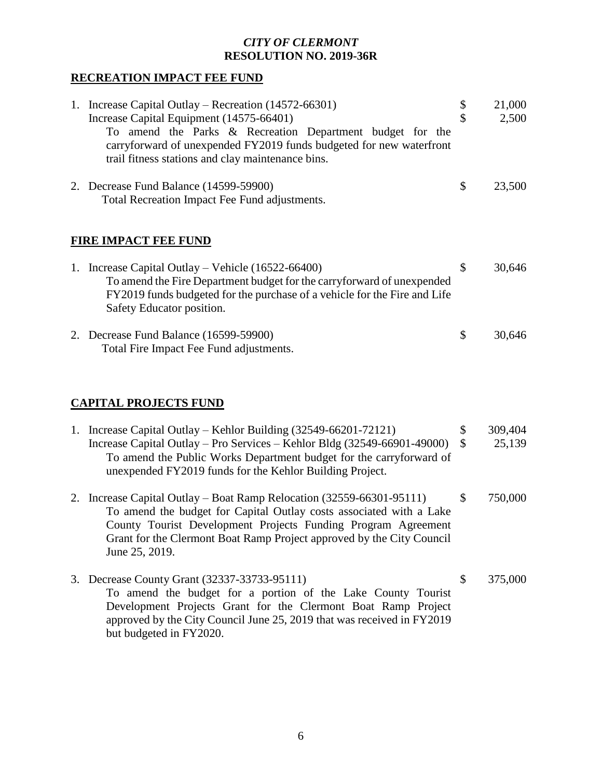### **RECREATION IMPACT FEE FUND**

| 1. Increase Capital Outlay – Recreation (14572-66301)<br>Increase Capital Equipment (14575-66401)<br>To amend the Parks & Recreation Department budget for the<br>carryforward of unexpended FY2019 funds budgeted for new waterfront<br>trail fitness stations and clay maintenance bins. | \$<br>\$            | 21,000<br>2,500   |
|--------------------------------------------------------------------------------------------------------------------------------------------------------------------------------------------------------------------------------------------------------------------------------------------|---------------------|-------------------|
| 2. Decrease Fund Balance (14599-59900)<br>Total Recreation Impact Fee Fund adjustments.                                                                                                                                                                                                    | \$                  | 23,500            |
| FIRE IMPACT FEE FUND                                                                                                                                                                                                                                                                       |                     |                   |
| 1. Increase Capital Outlay – Vehicle (16522-66400)<br>To amend the Fire Department budget for the carryforward of unexpended<br>FY2019 funds budgeted for the purchase of a vehicle for the Fire and Life<br>Safety Educator position.                                                     | \$                  | 30,646            |
| 2. Decrease Fund Balance (16599-59900)<br>Total Fire Impact Fee Fund adjustments.                                                                                                                                                                                                          | \$                  | 30,646            |
|                                                                                                                                                                                                                                                                                            |                     |                   |
| <b>CAPITAL PROJECTS FUND</b>                                                                                                                                                                                                                                                               |                     |                   |
| 1. Increase Capital Outlay – Kehlor Building (32549-66201-72121)<br>Increase Capital Outlay - Pro Services - Kehlor Bldg (32549-66901-49000)<br>To amend the Public Works Department budget for the carryforward of<br>unexpended FY2019 funds for the Kehlor Building Project.            | \$<br>$\mathcal{S}$ | 309,404<br>25,139 |
| 2. Increase Capital Outlay – Boat Ramp Relocation (32559-66301-95111)                                                                                                                                                                                                                      | \$                  | 750,000           |

- 2. Increase Capital Outlay Boat Ramp Relocation (32559-66301-95111) \$ 750,000 To amend the budget for Capital Outlay costs associated with a Lake County Tourist Development Projects Funding Program Agreement Grant for the Clermont Boat Ramp Project approved by the City Council June 25, 2019.
- 3. Decrease County Grant (32337-33733-95111) \$ 375,000 To amend the budget for a portion of the Lake County Tourist Development Projects Grant for the Clermont Boat Ramp Project approved by the City Council June 25, 2019 that was received in FY2019 but budgeted in FY2020.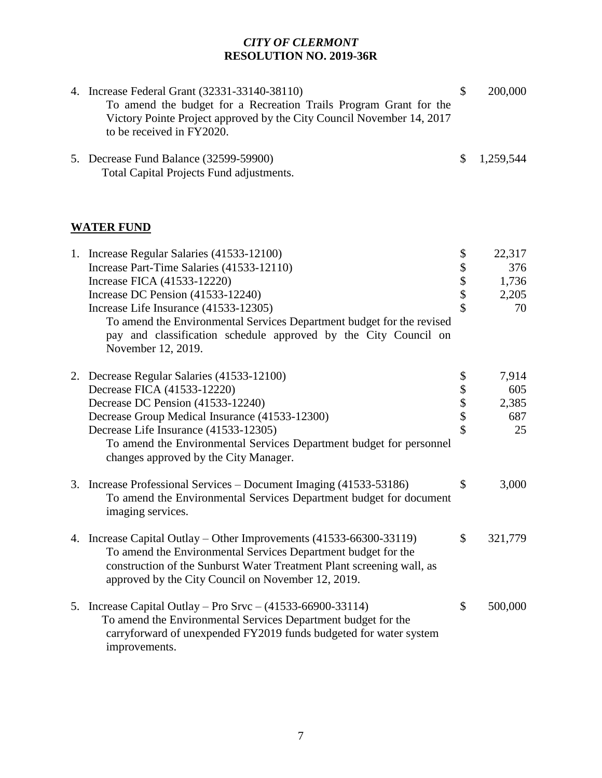| 4. Increase Federal Grant (32331-33140-38110)<br>To amend the budget for a Recreation Trails Program Grant for the<br>Victory Pointe Project approved by the City Council November 14, 2017<br>to be received in FY2020. | $\mathcal{S}$ | 200,000   |
|--------------------------------------------------------------------------------------------------------------------------------------------------------------------------------------------------------------------------|---------------|-----------|
| 5. Decrease Fund Balance (32599-59900)<br>Total Capital Projects Fund adjustments.                                                                                                                                       | \$            | 1,259,544 |
| <b>WATER FUND</b>                                                                                                                                                                                                        |               |           |
| 1. Increase Regular Salaries (41533-12100)                                                                                                                                                                               |               | 22,317    |
| Increase Part-Time Salaries (41533-12110)                                                                                                                                                                                | \$            | 376       |
| Increase FICA (41533-12220)                                                                                                                                                                                              | \$            | 1,736     |
| Increase DC Pension (41533-12240)                                                                                                                                                                                        | \$            | 2,205     |
| Increase Life Insurance (41533-12305)                                                                                                                                                                                    | \$            | 70        |
| To amend the Environmental Services Department budget for the revised<br>pay and classification schedule approved by the City Council on<br>November 12, 2019.                                                           |               |           |

| 2. Decrease Regular Salaries (41533-12100)                                                                                                                                                                                                                          | \$  | 7,914   |
|---------------------------------------------------------------------------------------------------------------------------------------------------------------------------------------------------------------------------------------------------------------------|-----|---------|
| Decrease FICA (41533-12220)                                                                                                                                                                                                                                         | \$  | 605     |
| Decrease DC Pension (41533-12240)                                                                                                                                                                                                                                   | \$  | 2,385   |
| Decrease Group Medical Insurance (41533-12300)                                                                                                                                                                                                                      | \$  | 687     |
| Decrease Life Insurance (41533-12305)                                                                                                                                                                                                                               | \$  | 25      |
| To amend the Environmental Services Department budget for personnel                                                                                                                                                                                                 |     |         |
| changes approved by the City Manager.                                                                                                                                                                                                                               |     |         |
| 3. Increase Professional Services – Document Imaging (41533-53186)<br>To amend the Environmental Services Department budget for document<br>imaging services.                                                                                                       | \$  | 3,000   |
| 4. Increase Capital Outlay – Other Improvements (41533-66300-33119)<br>To amend the Environmental Services Department budget for the<br>construction of the Sunburst Water Treatment Plant screening wall, as<br>approved by the City Council on November 12, 2019. | \$. | 321,779 |
| 5. Increase Capital Outlay – Pro Srvc – $(41533 - 66900 - 33114)$<br>To amend the Environmental Services Department budget for the<br>carryforward of unexpended FY2019 funds budgeted for water system<br>improvements.                                            | \$  | 500,000 |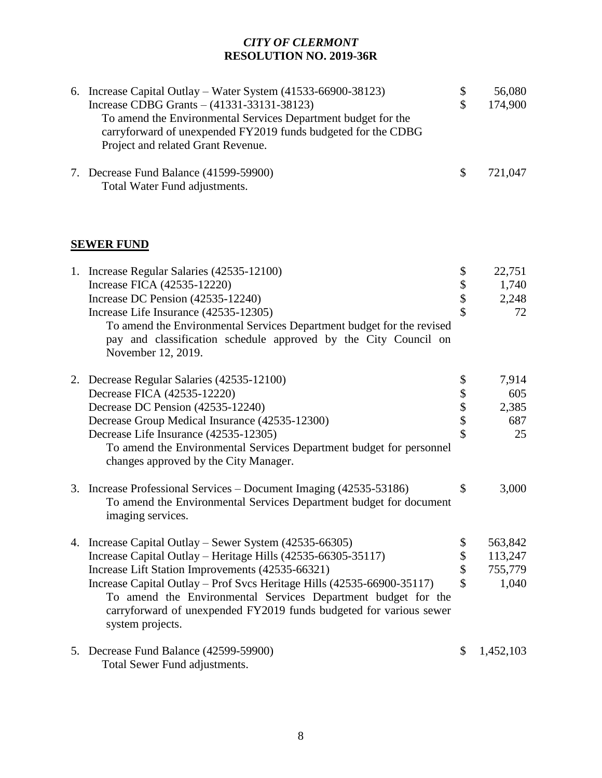| 6. Increase Capital Outlay – Water System $(41533-66900-38123)$ | \$<br>56,080  |
|-----------------------------------------------------------------|---------------|
| Increase CDBG Grants $- (41331 - 33131 - 38123)$                | \$<br>174,900 |
| To amend the Environmental Services Department budget for the   |               |
| carryforward of unexpended FY2019 funds budgeted for the CDBG   |               |
| Project and related Grant Revenue.                              |               |
| 7. Decrease Fund Balance (41599-59900)                          | \$<br>721,047 |
| Total Water Fund adjustments.                                   |               |
|                                                                 |               |
| <b>SEWER FUND</b>                                               |               |
| 1. Increase Regular Salaries (42535-12100)                      | \$<br>22,751  |
| Increase FICA (42535-12220)                                     | 1,740         |
|                                                                 |               |

Increase DC Pension (42535-12240) \$ 2,248 Increase Life Insurance (42535-12305) \$ 72 To amend the Environmental Services Department budget for the revised pay and classification schedule approved by the City Council on November 12, 2019. 2. Decrease Regular Salaries (42535-12100) \$ 7,914 Decrease FICA (42535-12220) <br>Decrease DC Pension (42535-12240) <br>\$2,385 Decrease DC Pension (42535-12240) <br>
Decrease Group Medical Insurance (42535-12300) \$ 687

Decrease Group Medical Insurance (42535-12300) \$ 687<br>Decrease Life Insurance (42535-12305) \$ 5 25 Decrease Life Insurance (42535-12305) \$ 25 To amend the Environmental Services Department budget for personnel changes approved by the City Manager.

- 3. Increase Professional Services Document Imaging (42535-53186) \$ 3,000 To amend the Environmental Services Department budget for document imaging services.
- 4. Increase Capital Outlay Sewer System (42535-66305) \$ 563,842<br>Increase Capital Outlay Heritage Hills (42535-66305-35117) \$ 113,247 Increase Capital Outlay – Heritage Hills (42535-66305-35117) \$ 113,247 Increase Lift Station Improvements (42535-66321) \$ 755,779 Increase Capital Outlay – Prof Svcs Heritage Hills (42535-66900-35117) \$ 1,040 To amend the Environmental Services Department budget for the carryforward of unexpended FY2019 funds budgeted for various sewer system projects.
- 5. Decrease Fund Balance (42599-59900) \$ 1,452,103 Total Sewer Fund adjustments.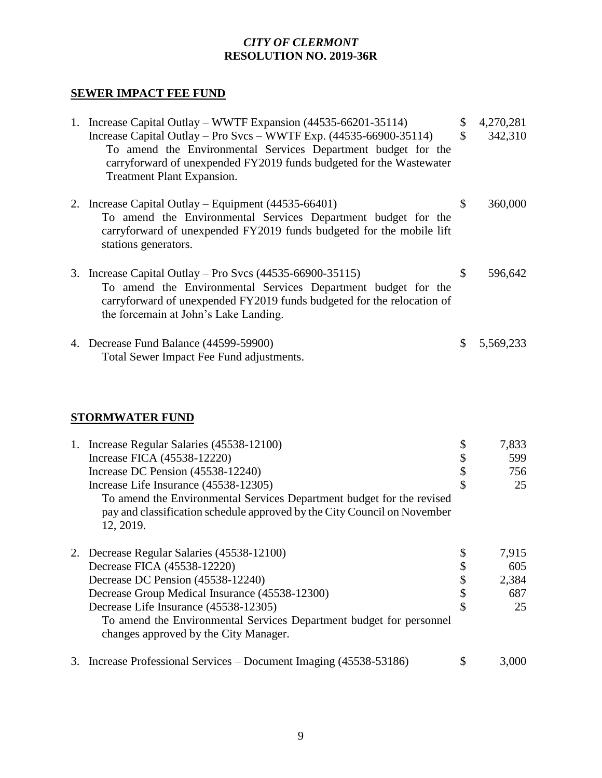## **SEWER IMPACT FEE FUND**

| 1. Increase Capital Outlay – WWTF Expansion (44535-66201-35114)<br>Increase Capital Outlay – Pro Svcs – WWTF Exp. $(44535-66900-35114)$<br>To amend the Environmental Services Department budget for the<br>carryforward of unexpended FY2019 funds budgeted for the Wastewater<br>Treatment Plant Expansion. | \$<br>\$ | 4,270,281<br>342,310 |
|---------------------------------------------------------------------------------------------------------------------------------------------------------------------------------------------------------------------------------------------------------------------------------------------------------------|----------|----------------------|
| 2. Increase Capital Outlay – Equipment $(44535-66401)$<br>To amend the Environmental Services Department budget for the<br>carryforward of unexpended FY2019 funds budgeted for the mobile lift<br>stations generators.                                                                                       | \$       | 360,000              |
| 3. Increase Capital Outlay – Pro Svcs $(44535-66900-35115)$<br>To amend the Environmental Services Department budget for the<br>carryforward of unexpended FY2019 funds budgeted for the relocation of<br>the forcemain at John's Lake Landing.                                                               | \$       | 596,642              |
| 4. Decrease Fund Balance (44599-59900)<br>Total Sewer Impact Fee Fund adjustments.                                                                                                                                                                                                                            | \$       | 5,569,233            |

# **STORMWATER FUND**

|  | 1. Increase Regular Salaries (45538-12100)                               | 7,833 |
|--|--------------------------------------------------------------------------|-------|
|  | Increase FICA (45538-12220)                                              | 599   |
|  | Increase DC Pension (45538-12240)                                        | 756   |
|  | Increase Life Insurance (45538-12305)                                    | 25    |
|  | To amend the Environmental Services Department budget for the revised    |       |
|  | pay and classification schedule approved by the City Council on November |       |
|  | 12, 2019.                                                                |       |
|  | 2. Decrease Regular Salaries (45538-12100)                               | 7,915 |
|  | Decrease FICA (45538-12220)                                              | 605   |
|  | Decrease DC Pension (45538-12240)                                        | 2,384 |
|  | Decrease Group Medical Insurance (45538-12300)                           | 687   |
|  | Decrease Life Insurance (45538-12305)                                    | 25    |
|  | To amend the Environmental Services Department budget for personnel      |       |
|  | changes approved by the City Manager.                                    |       |
|  | 3. Increase Professional Services – Document Imaging (45538-53186)       | 3.000 |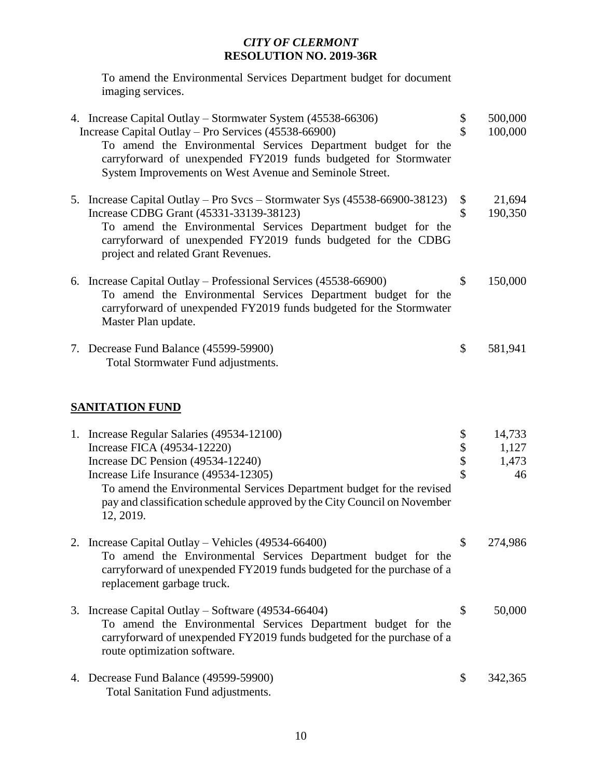To amend the Environmental Services Department budget for document imaging services.

|                        | 4. Increase Capital Outlay – Stormwater System (45538-66306)<br>Increase Capital Outlay – Pro Services (45538-66900)<br>To amend the Environmental Services Department budget for the<br>carryforward of unexpended FY2019 funds budgeted for Stormwater<br>System Improvements on West Avenue and Seminole Street.       | \$<br>$\mathbf{\hat{S}}$ | 500,000<br>100,000             |  |  |
|------------------------|---------------------------------------------------------------------------------------------------------------------------------------------------------------------------------------------------------------------------------------------------------------------------------------------------------------------------|--------------------------|--------------------------------|--|--|
|                        | 5. Increase Capital Outlay – Pro Svcs – Stormwater Sys (45538-66900-38123)<br>Increase CDBG Grant (45331-33139-38123)<br>To amend the Environmental Services Department budget for the<br>carryforward of unexpended FY2019 funds budgeted for the CDBG<br>project and related Grant Revenues.                            | \$<br>\$                 | 21,694<br>190,350              |  |  |
|                        | 6. Increase Capital Outlay – Professional Services (45538-66900)<br>To amend the Environmental Services Department budget for the<br>carryforward of unexpended FY2019 funds budgeted for the Stormwater<br>Master Plan update.                                                                                           | \$                       | 150,000                        |  |  |
|                        | 7. Decrease Fund Balance (45599-59900)<br>Total Stormwater Fund adjustments.                                                                                                                                                                                                                                              | \$                       | 581,941                        |  |  |
| <b>SANITATION FUND</b> |                                                                                                                                                                                                                                                                                                                           |                          |                                |  |  |
|                        | 1. Increase Regular Salaries (49534-12100)<br>Increase FICA (49534-12220)<br>Increase DC Pension (49534-12240)<br>Increase Life Insurance (49534-12305)<br>To amend the Environmental Services Department budget for the revised<br>pay and classification schedule approved by the City Council on November<br>12, 2019. | \$<br>\$\$<br>\$         | 14,733<br>1,127<br>1,473<br>46 |  |  |
|                        | 2. Increase Capital Outlay - Vehicles (49534-66400)<br>To amend the Environmental Services Department budget for the<br>carryforward of unexpended FY2019 funds budgeted for the purchase of a<br>replacement garbage truck.                                                                                              | \$                       | 274,986                        |  |  |
|                        | 3. Increase Capital Outlay – Software (49534-66404)<br>To amend the Environmental Services Department budget for the<br>carryforward of unexpended FY2019 funds budgeted for the purchase of a<br>route optimization software.                                                                                            | \$                       | 50,000                         |  |  |
|                        | 4. Decrease Fund Balance (49599-59900)<br>Total Sanitation Fund adjustments.                                                                                                                                                                                                                                              | \$                       | 342,365                        |  |  |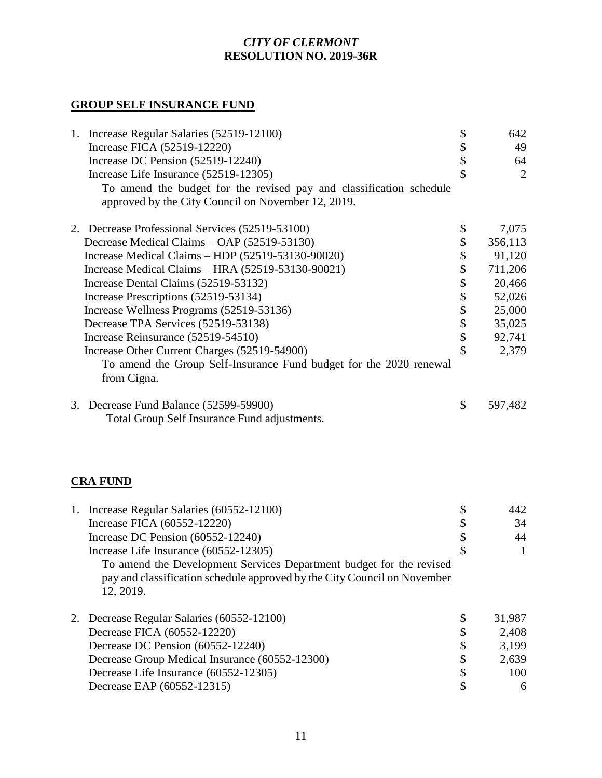# **GROUP SELF INSURANCE FUND**

| 1. Increase Regular Salaries (52519-12100)<br>Increase FICA (52519-12220)<br>Increase DC Pension (52519-12240)<br>Increase Life Insurance (52519-12305)<br>To amend the budget for the revised pay and classification schedule<br>approved by the City Council on November 12, 2019.                                                                                                                                                                                                                                                                       | \$<br>\$<br>\$                                    | 642<br>49<br>64<br>$\overline{2}$                                                                |
|------------------------------------------------------------------------------------------------------------------------------------------------------------------------------------------------------------------------------------------------------------------------------------------------------------------------------------------------------------------------------------------------------------------------------------------------------------------------------------------------------------------------------------------------------------|---------------------------------------------------|--------------------------------------------------------------------------------------------------|
| 2. Decrease Professional Services (52519-53100)<br>Decrease Medical Claims - OAP (52519-53130)<br>Increase Medical Claims $-$ HDP $(52519-53130-90020)$<br>Increase Medical Claims - HRA (52519-53130-90021)<br>Increase Dental Claims (52519-53132)<br>Increase Prescriptions (52519-53134)<br>Increase Wellness Programs (52519-53136)<br>Decrease TPA Services (52519-53138)<br>Increase Reinsurance (52519-54510)<br>Increase Other Current Charges (52519-54900)<br>To amend the Group Self-Insurance Fund budget for the 2020 renewal<br>from Cigna. | \$<br>\$<br>\$\$\$\$\$\$\$<br>$\hat{\mathcal{S}}$ | 7,075<br>356,113<br>91,120<br>711,206<br>20,466<br>52,026<br>25,000<br>35,025<br>92,741<br>2,379 |
| 3. Decrease Fund Balance (52599-59900)<br>Total Group Self Insurance Fund adjustments.                                                                                                                                                                                                                                                                                                                                                                                                                                                                     | \$                                                | 597,482                                                                                          |
| <b>CRA FUND</b>                                                                                                                                                                                                                                                                                                                                                                                                                                                                                                                                            |                                                   |                                                                                                  |
| 1. Increase Regular Salaries (60552-12100)<br>Increase FICA (60552-12220)<br>Increase DC Pension (60552-12240)<br>Increase Life Insurance (60552-12305)<br>To amend the Development Services Department budget for the revised<br>pay and classification schedule approved by the City Council on November<br>12, 2019.                                                                                                                                                                                                                                    | \$<br>$\frac{1}{2}$<br>\$                         | 442<br>34<br>44<br>$\mathbf{1}$                                                                  |
| 2. Decrease Regular Salaries (60552-12100)<br>Decrease FICA (60552-12220)<br>Decrease DC Pension (60552-12240)<br>Decrease Group Medical Insurance (60552-12300)<br>Decrease Life Insurance (60552-12305)<br>Decrease EAP (60552-12315)                                                                                                                                                                                                                                                                                                                    | \$<br>\$\$\$\$<br>\$                              | 31,987<br>2,408<br>3,199<br>2,639<br>100<br>6                                                    |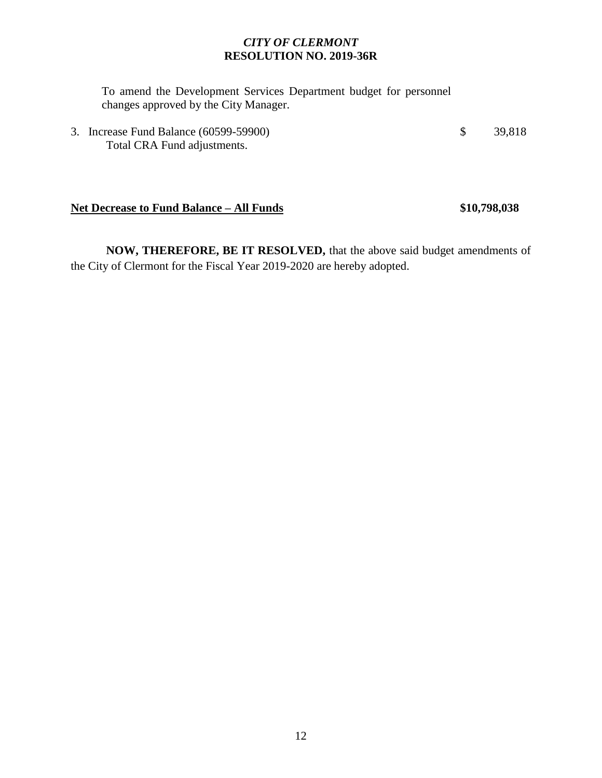To amend the Development Services Department budget for personnel changes approved by the City Manager.

3. Increase Fund Balance (60599-59900) \$ 39,818 Total CRA Fund adjustments.

#### **Net Decrease to Fund Balance – All Funds \$10,798,038**

**NOW, THEREFORE, BE IT RESOLVED,** that the above said budget amendments of the City of Clermont for the Fiscal Year 2019-2020 are hereby adopted.